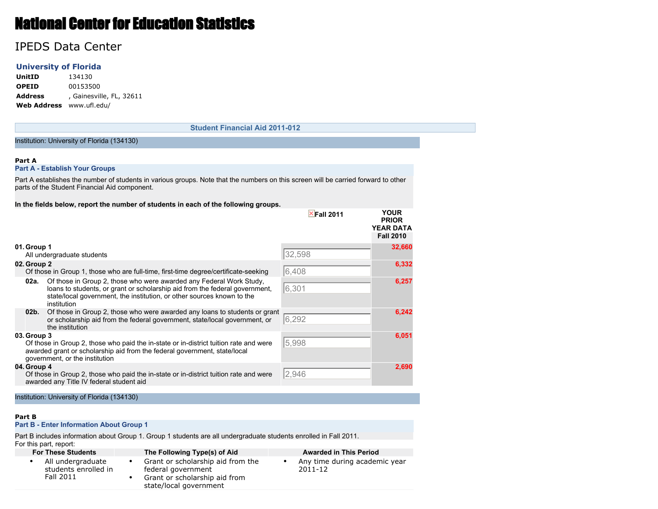# National Center for Education Statistics

## IPEDS Data Center

## **University of Florida**

**UnitID** 134130 **OPEID** 00153500 **Address** , Gainesville, FL, 32611 **Web Address** www.ufl.edu/

#### **Student Financial Aid 2011-012**

#### Institution: University of Florida (134130)

#### **Part A**

#### **Part A - Establish Your Groups**

Part A establishes the number of students in various groups. Note that the numbers on this screen will be carried forward to other parts of the Student Financial Aid component.

#### **In the fields below, report the number of students in each of the following groups.**

|                 |                                                                                                                                                                                                                                             | $\times$ Fall 2011 | <b>YOUR</b><br><b>PRIOR</b><br><b>YEAR DATA</b><br><b>Fall 2010</b> |
|-----------------|---------------------------------------------------------------------------------------------------------------------------------------------------------------------------------------------------------------------------------------------|--------------------|---------------------------------------------------------------------|
| 01. Group 1     | All undergraduate students                                                                                                                                                                                                                  | 32,598             | 32,660                                                              |
| 02. Group 2     | Of those in Group 1, those who are full-time, first-time degree/certificate-seeking                                                                                                                                                         | 6,408              | 6,332                                                               |
| 02a.            | Of those in Group 2, those who were awarded any Federal Work Study,<br>loans to students, or grant or scholarship aid from the federal government,<br>state/local government, the institution, or other sources known to the<br>institution | 6,301              | 6,257                                                               |
| 02 <sub>b</sub> | Of those in Group 2, those who were awarded any loans to students or grant<br>or scholarship aid from the federal government, state/local government, or<br>the institution                                                                 | 6,292              | 6,242                                                               |
| 03. Group 3     | Of those in Group 2, those who paid the in-state or in-district tuition rate and were<br>awarded grant or scholarship aid from the federal government, state/local<br>government, or the institution                                        | 5,998              | 6,051                                                               |
| 04. Group 4     | Of those in Group 2, those who paid the in-state or in-district tuition rate and were<br>awarded any Title IV federal student aid                                                                                                           | 2,946              | 2,690                                                               |

Institution: University of Florida (134130)

#### **Part B**

## **Part B - Enter Information About Group 1**

Part B includes information about Group 1. Group 1 students are all undergraduate students enrolled in Fall 2011.

| For this part, report:                                 |                                                                                                                    |                                          |
|--------------------------------------------------------|--------------------------------------------------------------------------------------------------------------------|------------------------------------------|
| <b>For These Students</b>                              | The Following Type(s) of Aid                                                                                       | <b>Awarded in This Period</b>            |
| All undergraduate<br>students enrolled in<br>Fall 2011 | Grant or scholarship aid from the<br>federal government<br>Grant or scholarship aid from<br>state/local government | Any time during academic year<br>2011-12 |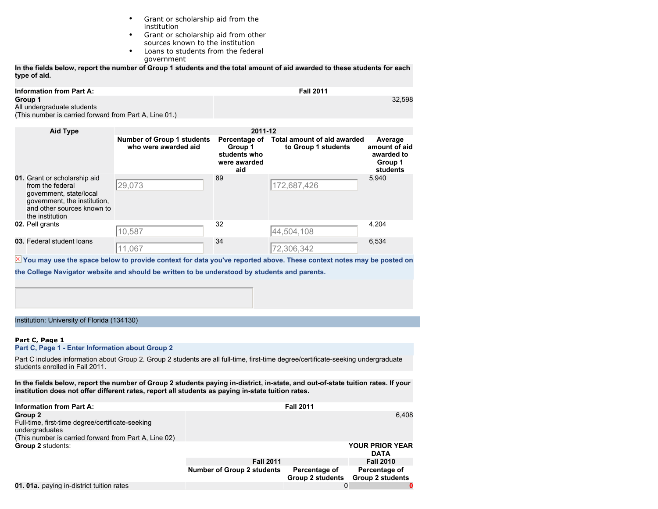- Grant or scholarship aid from the institution
- Grant or scholarship aid from other sources known to the institution
- Loans to students from the federal government

**In the fields below, report the number of Group 1 students and the total amount of aid awarded to these students for each type of aid.**

| Information from Part A:                               | <b>Fall 2011</b> |
|--------------------------------------------------------|------------------|
| Group 1                                                | 32.598           |
| All undergraduate students                             |                  |
| (This number is carried forward from Part A, Line 01.) |                  |
|                                                        |                  |

| <b>Aid Type</b>                                                                                                                                              | 2011-12                                                   |                                                                 |                                                           |                                                               |  |  |  |  |
|--------------------------------------------------------------------------------------------------------------------------------------------------------------|-----------------------------------------------------------|-----------------------------------------------------------------|-----------------------------------------------------------|---------------------------------------------------------------|--|--|--|--|
|                                                                                                                                                              | <b>Number of Group 1 students</b><br>who were awarded aid | Percentage of<br>Group 1<br>students who<br>were awarded<br>aid | <b>Total amount of aid awarded</b><br>to Group 1 students | Average<br>amount of aid<br>awarded to<br>Group 1<br>students |  |  |  |  |
| 01. Grant or scholarship aid<br>from the federal<br>government, state/local<br>government, the institution,<br>and other sources known to<br>the institution | 29,073                                                    | 89                                                              | 172,687,426                                               | 5,940                                                         |  |  |  |  |
| 02. Pell grants                                                                                                                                              | 10,587                                                    | 32                                                              | 44,504,108                                                | 4,204                                                         |  |  |  |  |
| 03. Federal student loans                                                                                                                                    | 11,067                                                    | 34                                                              | 72,306,342                                                | 6,534                                                         |  |  |  |  |

 $\overline{X}$  You may use the space below to provide context for data you've reported above. These context notes may be posted on

**the College Navigator website and should be written to be understood by students and parents.**

Institution: University of Florida (134130)

## **Part C, Page 1**

**Part C, Page 1 - Enter Information about Group 2**

Part C includes information about Group 2. Group 2 students are all full-time, first-time degree/certificate-seeking undergraduate students enrolled in Fall 2011.

**In the fields below, report the number of Group 2 students paying in-district, in-state, and out-of-state tuition rates. If your institution does not offer different rates, report all students as paying in-state tuition rates.**

| <b>Information from Part A:</b>                                                                                                        |                                   | <b>Fall 2011</b>                         |                                          |
|----------------------------------------------------------------------------------------------------------------------------------------|-----------------------------------|------------------------------------------|------------------------------------------|
| Group 2<br>Full-time, first-time degree/certificate-seeking<br>undergraduates<br>(This number is carried forward from Part A, Line 02) |                                   |                                          | 6.408                                    |
| Group 2 students:                                                                                                                      |                                   |                                          | <b>YOUR PRIOR YEAR</b><br><b>DATA</b>    |
|                                                                                                                                        | <b>Fall 2011</b>                  |                                          | <b>Fall 2010</b>                         |
|                                                                                                                                        | <b>Number of Group 2 students</b> | Percentage of<br><b>Group 2 students</b> | Percentage of<br><b>Group 2 students</b> |
| 01. 01a. paying in-district tuition rates                                                                                              |                                   |                                          |                                          |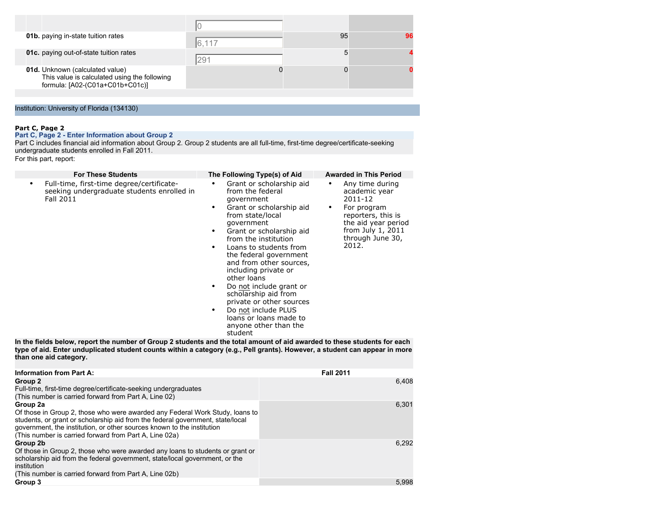| 01b. paying in-state tuition rates                                                                                 | 6,117 | 95 |  |
|--------------------------------------------------------------------------------------------------------------------|-------|----|--|
| <b>01c.</b> paying out-of-state tuition rates                                                                      | 291   |    |  |
| 01d. Unknown (calculated value)<br>This value is calculated using the following<br>formula: [A02-(C01a+C01b+C01c)] |       |    |  |
|                                                                                                                    |       |    |  |

## Institution: University of Florida (134130)

## **Part C, Page 2**

#### **Part C, Page 2 - Enter Information about Group 2**

Part C includes financial aid information about Group 2. Group 2 students are all full-time, first-time degree/certificate-seeking undergraduate students enrolled in Fall 2011.

For this part, report:

| <b>For These Students</b>                                                                                                                                                                                                                                                                                                                                                                               | The Following Type(s) of Aid                                                                                                                                                                                                                                                                                                                                                                                                                                                                                               |                  | <b>Awarded in This Period</b>                                                                                                                             |
|---------------------------------------------------------------------------------------------------------------------------------------------------------------------------------------------------------------------------------------------------------------------------------------------------------------------------------------------------------------------------------------------------------|----------------------------------------------------------------------------------------------------------------------------------------------------------------------------------------------------------------------------------------------------------------------------------------------------------------------------------------------------------------------------------------------------------------------------------------------------------------------------------------------------------------------------|------------------|-----------------------------------------------------------------------------------------------------------------------------------------------------------|
| Full-time, first-time degree/certificate-<br>$\bullet$<br>seeking undergraduate students enrolled in<br>Fall 2011<br>In the fields below, report the number of Group 2 students and the total amount of aid awarded to these students for each<br>type of aid. Enter unduplicated student counts within a category (e.g., Pell grants). However, a student can appear in more<br>than one aid category. | Grant or scholarship aid<br>from the federal<br>government<br>Grant or scholarship aid<br>$\bullet$<br>from state/local<br>qovernment<br>Grant or scholarship aid<br>$\bullet$<br>from the institution<br>Loans to students from<br>the federal government<br>and from other sources,<br>including private or<br>other loans<br>Do not include grant or<br>$\bullet$<br>scholarship aid from<br>private or other sources<br>Do not include PLUS<br>$\bullet$<br>loans or loans made to<br>anyone other than the<br>student | ٠                | Any time during<br>academic year<br>2011-12<br>For program<br>reporters, this is<br>the aid year period<br>from July 1, 2011<br>through June 30,<br>2012. |
| <b>Information from Part A:</b>                                                                                                                                                                                                                                                                                                                                                                         |                                                                                                                                                                                                                                                                                                                                                                                                                                                                                                                            | <b>Fall 2011</b> |                                                                                                                                                           |
| Group 2                                                                                                                                                                                                                                                                                                                                                                                                 |                                                                                                                                                                                                                                                                                                                                                                                                                                                                                                                            |                  | 6,408                                                                                                                                                     |
| Full-time, first-time degree/certificate-seeking undergraduates<br>(This number is carried forward from Part A, Line 02)                                                                                                                                                                                                                                                                                |                                                                                                                                                                                                                                                                                                                                                                                                                                                                                                                            |                  |                                                                                                                                                           |
| Group 2a<br>Of those in Group 2, those who were awarded any Federal Work Study, loans to<br>students, or grant or scholarship aid from the federal government, state/local<br>government, the institution, or other sources known to the institution                                                                                                                                                    |                                                                                                                                                                                                                                                                                                                                                                                                                                                                                                                            |                  | 6,301                                                                                                                                                     |

6,292

| government, the institution, or other sources Known to the institution<br>(This number is carried forward from Part A, Line 02a)                                                                                                                  |       |
|---------------------------------------------------------------------------------------------------------------------------------------------------------------------------------------------------------------------------------------------------|-------|
| Group 2b<br>Of those in Group 2, those who were awarded any loans to students or grant or<br>scholarship aid from the federal government, state/local government, or the<br>institution<br>(This number is carried forward from Part A, Line 02b) | 6.292 |
| Group 3                                                                                                                                                                                                                                           | 5.998 |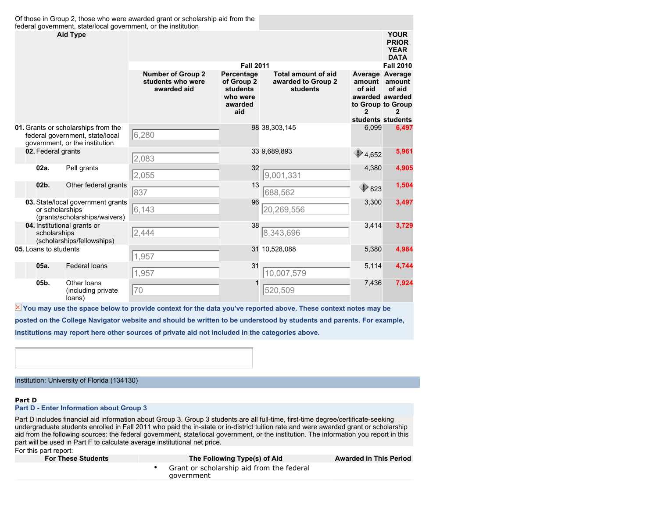| Of those in Group 2, those who were awarded grant or scholarship aid from the<br>federal government, state/local government, or the institution |                                                                                       |                                                              |                                                                           |                                                              |                                                                                                              |                                                           |  |
|-------------------------------------------------------------------------------------------------------------------------------------------------|---------------------------------------------------------------------------------------|--------------------------------------------------------------|---------------------------------------------------------------------------|--------------------------------------------------------------|--------------------------------------------------------------------------------------------------------------|-----------------------------------------------------------|--|
|                                                                                                                                                 | <b>Aid Type</b>                                                                       |                                                              |                                                                           |                                                              |                                                                                                              | <b>YOUR</b><br><b>PRIOR</b><br><b>YEAR</b><br><b>DATA</b> |  |
|                                                                                                                                                 |                                                                                       |                                                              | <b>Fall 2011</b>                                                          |                                                              |                                                                                                              | <b>Fall 2010</b>                                          |  |
|                                                                                                                                                 |                                                                                       | <b>Number of Group 2</b><br>students who were<br>awarded aid | Percentage<br>of Group 2<br><b>students</b><br>who were<br>awarded<br>aid | <b>Total amount of aid</b><br>awarded to Group 2<br>students | Average Average<br>amount amount<br>of aid<br>awarded awarded<br>to Group to Group<br>2<br>students students | of aid<br>2                                               |  |
| 01. Grants or scholarships from the<br>federal government, state/local<br>government, or the institution                                        |                                                                                       | 6,280                                                        |                                                                           | 98 38,303,145                                                | 6,099                                                                                                        | 6,497                                                     |  |
| 02. Federal grants                                                                                                                              |                                                                                       | 2,083                                                        |                                                                           | 33 9,689,893                                                 | $\bigcirc$ 4,652                                                                                             | 5,961                                                     |  |
| 02a.                                                                                                                                            | Pell grants                                                                           | 2,055                                                        | 32                                                                        | 9,001,331                                                    | 4,380                                                                                                        | 4,905                                                     |  |
| 02 <sub>b</sub>                                                                                                                                 | Other federal grants                                                                  | 837                                                          | 13                                                                        | 688,562                                                      | $\bigcirc$ 823                                                                                               | 1,504                                                     |  |
|                                                                                                                                                 | 03. State/local government grants<br>or scholarships<br>(grants/scholarships/waivers) | 6,143                                                        | 96                                                                        | 20,269,556                                                   | 3,300                                                                                                        | 3,497                                                     |  |
| scholarships                                                                                                                                    | 04. Institutional grants or<br>(scholarships/fellowships)                             | 2,444                                                        | 38                                                                        | 8,343,696                                                    | 3,414                                                                                                        | 3,729                                                     |  |
| 05. Loans to students                                                                                                                           |                                                                                       | 1,957                                                        |                                                                           | 31 10,528,088                                                | 5,380                                                                                                        | 4,984                                                     |  |
| 05a.                                                                                                                                            | <b>Federal loans</b>                                                                  | 1,957                                                        | 31                                                                        | 10,007,579                                                   | 5,114                                                                                                        | 4,744                                                     |  |
| 05b.                                                                                                                                            | Other loans<br>(including private<br>loans)                                           | 70                                                           |                                                                           | 520,509                                                      | 7,436                                                                                                        | 7,924                                                     |  |

 $\overline{\mathbb{X}}$  You may use the space below to provide context for the data you've reported above. These context notes may be **posted on the College Navigator website and should be written to be understood by students and parents. For example,**

**institutions may report here other sources of private aid not included in the categories above.**

#### Institution: University of Florida (134130)

#### **Part D**

#### **Part D - Enter Information about Group 3**

Part D includes financial aid information about Group 3. Group 3 students are all full-time, first-time degree/certificate-seeking undergraduate students enrolled in Fall 2011 who paid the in-state or in-district tuition rate and were awarded grant or scholarship aid from the following sources: the federal government, state/local government, or the institution. The information you report in this part will be used in Part F to calculate average institutional net price.

For this part report:

| <b>For These Students</b> | The Following Type(s) of Aid                              | <b>Awarded in This Period</b> |
|---------------------------|-----------------------------------------------------------|-------------------------------|
|                           | • Grant or scholarship aid from the federal<br>aovernment |                               |
|                           |                                                           |                               |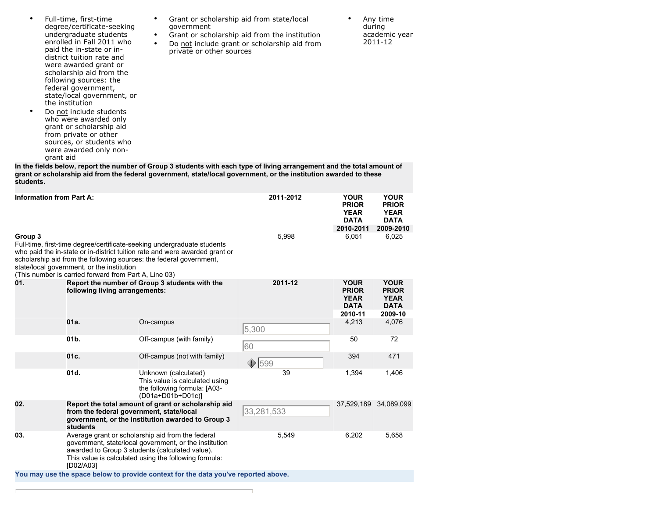| $\bullet$                       | degree/certificate-seeking<br>undergraduate students<br>enrolled in Fall 2011 who<br>paid the in-state or in-<br>district tuition rate and<br>were awarded grant or<br>scholarship aid from the<br>following sources: the<br>federal government,<br>state/local government, or<br>the institution<br>Do not include students<br>who were awarded only<br>grant or scholarship aid<br>from private or other<br>sources, or students who<br>were awarded only non-<br>grant aid | $\bullet$ | government<br>private or other sources                                                                          | Grant or scholarship aid from the institution<br>Do not include grant or scholarship aid from<br>In the fields below, report the number of Group 3 students with each type of living arrangement and the total amount of |                                                                      | during<br>academic year<br>2011-12                                   |
|---------------------------------|-------------------------------------------------------------------------------------------------------------------------------------------------------------------------------------------------------------------------------------------------------------------------------------------------------------------------------------------------------------------------------------------------------------------------------------------------------------------------------|-----------|-----------------------------------------------------------------------------------------------------------------|--------------------------------------------------------------------------------------------------------------------------------------------------------------------------------------------------------------------------|----------------------------------------------------------------------|----------------------------------------------------------------------|
| students.                       |                                                                                                                                                                                                                                                                                                                                                                                                                                                                               |           |                                                                                                                 | grant or scholarship aid from the federal government, state/local government, or the institution awarded to these                                                                                                        |                                                                      |                                                                      |
| <b>Information from Part A:</b> |                                                                                                                                                                                                                                                                                                                                                                                                                                                                               |           |                                                                                                                 | 2011-2012                                                                                                                                                                                                                | <b>YOUR</b><br><b>PRIOR</b><br><b>YEAR</b><br><b>DATA</b>            | <b>YOUR</b><br><b>PRIOR</b><br><b>YEAR</b><br><b>DATA</b>            |
| Group 3                         | Full-time, first-time degree/certificate-seeking undergraduate students<br>scholarship aid from the following sources: the federal government,<br>state/local government, or the institution<br>(This number is carried forward from Part A, Line 03)                                                                                                                                                                                                                         |           | who paid the in-state or in-district tuition rate and were awarded grant or                                     | 5,998                                                                                                                                                                                                                    | 2010-2011<br>6,051                                                   | 2009-2010<br>6,025                                                   |
| 01.                             | following living arrangements:                                                                                                                                                                                                                                                                                                                                                                                                                                                |           | Report the number of Group 3 students with the                                                                  | 2011-12                                                                                                                                                                                                                  | <b>YOUR</b><br><b>PRIOR</b><br><b>YEAR</b><br><b>DATA</b><br>2010-11 | <b>YOUR</b><br><b>PRIOR</b><br><b>YEAR</b><br><b>DATA</b><br>2009-10 |
|                                 | 01a.                                                                                                                                                                                                                                                                                                                                                                                                                                                                          | On-campus |                                                                                                                 | 5,300                                                                                                                                                                                                                    | 4,213                                                                | 4,076                                                                |
|                                 | 01 <sub>b</sub>                                                                                                                                                                                                                                                                                                                                                                                                                                                               |           | Off-campus (with family)                                                                                        | 60                                                                                                                                                                                                                       | 50                                                                   | 72                                                                   |
|                                 | 01c.                                                                                                                                                                                                                                                                                                                                                                                                                                                                          |           | Off-campus (not with family)                                                                                    | $\bigcirc$ 599                                                                                                                                                                                                           | 394                                                                  | 471                                                                  |
|                                 | 01d.                                                                                                                                                                                                                                                                                                                                                                                                                                                                          |           | Unknown (calculated)<br>This value is calculated using<br>the following formula: [A03-<br>(D01a+D01b+D01c)]     | 39                                                                                                                                                                                                                       | 1,394                                                                | 1,406                                                                |
| 02.                             | from the federal government, state/local<br>students                                                                                                                                                                                                                                                                                                                                                                                                                          |           | Report the total amount of grant or scholarship aid<br>government, or the institution awarded to Group 3        | 33,281,533                                                                                                                                                                                                               |                                                                      | 37,529,189 34,089,099                                                |
| 03.                             | Average grant or scholarship aid from the federal<br>awarded to Group 3 students (calculated value).<br>[D02/A03]                                                                                                                                                                                                                                                                                                                                                             |           | government, state/local government, or the institution<br>This value is calculated using the following formula: | 5,549                                                                                                                                                                                                                    | 6,202                                                                | 5,658                                                                |

• Grant or scholarship aid from state/local

• Full-time, first-time

**You may use the space below to provide context for the data you've reported above.**

г

academic year 2011-12

• Any time during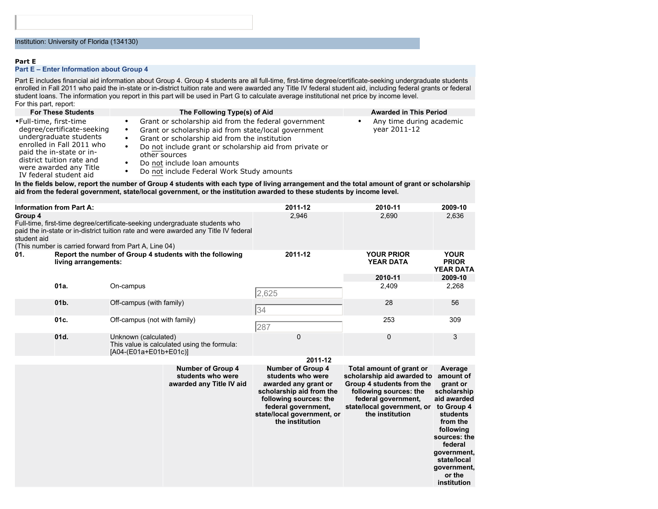#### **Part E**

#### **Part E – Enter Information about Group 4**

Part E includes financial aid information about Group 4. Group 4 students are all full-time, first-time degree/certificate-seeking undergraduate students enrolled in Fall 2011 who paid the in-state or in-district tuition rate and were awarded any Title IV federal student aid, including federal grants or federal student loans. The information you report in this part will be used in Part G to calculate average institutional net price by income level. For this part, report:<br>**For These Students** 

•Full-time, first-time degree/certificate-seeking undergraduate students enrolled in Fall 2011 who paid the in-state or indistrict tuition rate and were awarded any Title IV federal student aid

- **Following Type(s) of Aid Awarded in This Period**
- Grant or scholarship aid from the federal government
- Grant or scholarship aid from state/local government<br>• Grant or scholarship aid from the institution
- Grant or scholarship aid from the institution
- Do not include grant or scholarship aid from private or other sources
- Do not include loan amounts
- Do not include Federal Work Study amounts

#### **In the fields below, report the number of Group 4 students with each type of living arrangement and the total amount of grant or scholarship aid from the federal government, state/local government, or the institution awarded to these students by income level.**

|                        | <b>Information from Part A:</b> |                                                       |                                                                                                                                                                    | 2011-12                                                                                                                                                                                             | 2010-11                                                                                                                                                                               | 2009-10                                                                                                                                                                                                            |
|------------------------|---------------------------------|-------------------------------------------------------|--------------------------------------------------------------------------------------------------------------------------------------------------------------------|-----------------------------------------------------------------------------------------------------------------------------------------------------------------------------------------------------|---------------------------------------------------------------------------------------------------------------------------------------------------------------------------------------|--------------------------------------------------------------------------------------------------------------------------------------------------------------------------------------------------------------------|
| Group 4<br>student aid |                                 | (This number is carried forward from Part A, Line 04) | Full-time, first-time degree/certificate-seeking undergraduate students who<br>paid the in-state or in-district tuition rate and were awarded any Title IV federal | 2,946                                                                                                                                                                                               | 2,690                                                                                                                                                                                 | 2,636                                                                                                                                                                                                              |
| 01.                    | living arrangements:            |                                                       | Report the number of Group 4 students with the following                                                                                                           | 2011-12                                                                                                                                                                                             | <b>YOUR PRIOR</b><br><b>YEAR DATA</b>                                                                                                                                                 | <b>YOUR</b><br><b>PRIOR</b><br><b>YEAR DATA</b>                                                                                                                                                                    |
|                        |                                 |                                                       |                                                                                                                                                                    |                                                                                                                                                                                                     | 2010-11                                                                                                                                                                               | 2009-10                                                                                                                                                                                                            |
|                        | 01a.                            | On-campus                                             |                                                                                                                                                                    | 2,625                                                                                                                                                                                               | 2,409                                                                                                                                                                                 | 2,268                                                                                                                                                                                                              |
| 01b.                   |                                 | Off-campus (with family)                              |                                                                                                                                                                    | 34                                                                                                                                                                                                  | 28                                                                                                                                                                                    | 56                                                                                                                                                                                                                 |
|                        | 01c.                            | Off-campus (not with family)                          |                                                                                                                                                                    | 287                                                                                                                                                                                                 | 253                                                                                                                                                                                   | 309                                                                                                                                                                                                                |
| 01d.                   |                                 | Unknown (calculated)<br>[A04-(E01a+E01b+E01c)]        | This value is calculated using the formula:                                                                                                                        | 0                                                                                                                                                                                                   | $\mathbf{0}$                                                                                                                                                                          | 3                                                                                                                                                                                                                  |
|                        |                                 |                                                       |                                                                                                                                                                    | 2011-12                                                                                                                                                                                             |                                                                                                                                                                                       |                                                                                                                                                                                                                    |
|                        |                                 |                                                       | <b>Number of Group 4</b><br>students who were<br>awarded any Title IV aid                                                                                          | <b>Number of Group 4</b><br>students who were<br>awarded any grant or<br>scholarship aid from the<br>following sources: the<br>federal government,<br>state/local government, or<br>the institution | Total amount of grant or<br>scholarship aid awarded to<br>Group 4 students from the<br>following sources: the<br>federal government,<br>state/local government, or<br>the institution | Average<br>amount of<br>grant or<br>scholarship<br>aid awarded<br>to Group 4<br>students<br>from the<br>following<br>sources: the<br>federal<br>government,<br>state/local<br>government,<br>or the<br>institution |

• Any time during academic year 2011-12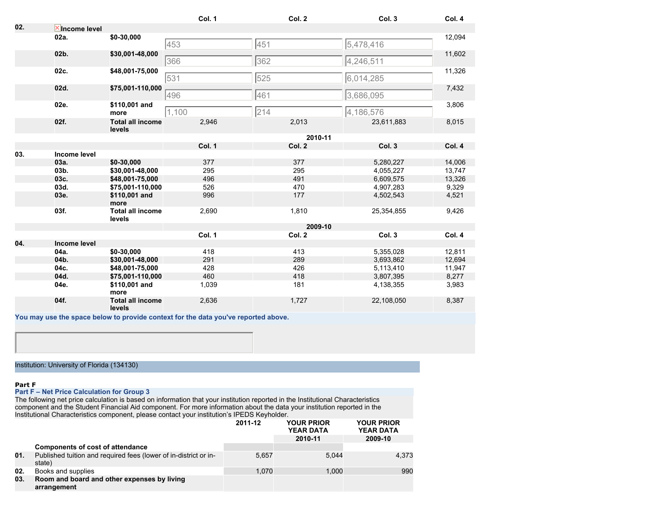|     |                       |                                   | Col. 1 | Col. 2  | Col. 3     | Col. 4 |
|-----|-----------------------|-----------------------------------|--------|---------|------------|--------|
| 02. | <b>X</b> Income level |                                   |        |         |            |        |
|     | 02a.                  | \$0-30,000                        |        |         |            | 12,094 |
|     |                       |                                   | 453    | 451     | 5,478,416  |        |
|     | $02b$ .               | \$30,001-48,000                   |        |         |            | 11,602 |
|     |                       |                                   | 366    | 362     | 4,246,511  |        |
|     | 02c.                  | \$48,001-75,000                   |        |         |            | 11,326 |
|     |                       |                                   | 531    | 525     | 6,014,285  |        |
|     | 02d.                  | \$75,001-110,000                  |        |         |            | 7,432  |
|     |                       |                                   | 496    | 461     | 3,686,095  |        |
|     | 02e.                  | \$110,001 and                     |        |         |            | 3,806  |
|     |                       | more                              | 1,100  | 214     | 4,186,576  |        |
|     | 02f.                  | <b>Total all income</b><br>levels | 2,946  | 2,013   | 23,611,883 | 8,015  |
|     |                       |                                   |        | 2010-11 |            |        |
|     |                       |                                   | Col. 1 | Col. 2  | Col. 3     | Col. 4 |
| 03. | Income level          |                                   |        |         |            |        |
|     | 03a.                  | \$0-30,000                        | 377    | 377     | 5,280,227  | 14,006 |
|     | 03b.                  | \$30,001-48,000                   | 295    | 295     | 4,055,227  | 13,747 |
|     | 03c.                  | \$48,001-75,000                   | 496    | 491     | 6,609,575  | 13,326 |
|     | 03d.                  | \$75,001-110,000                  | 526    | 470     | 4,907,283  | 9,329  |
|     | 03e.                  | \$110,001 and<br>more             | 996    | 177     | 4,502,543  | 4,521  |
|     | 03f.                  | <b>Total all income</b><br>levels | 2,690  | 1,810   | 25,354,855 | 9,426  |
|     |                       |                                   |        | 2009-10 |            |        |
|     |                       |                                   | Col. 1 | Col. 2  | Col. 3     | Col. 4 |
| 04. | Income level          |                                   |        |         |            |        |
|     | 04a.                  | \$0-30,000                        | 418    | 413     | 5,355,028  | 12,811 |
|     | 04b.                  | \$30,001-48,000                   | 291    | 289     | 3,693,862  | 12,694 |
|     | 04c.                  | \$48,001-75,000                   | 428    | 426     | 5,113,410  | 11,947 |
|     | 04d.                  | \$75,001-110,000                  | 460    | 418     | 3,807,395  | 8,277  |
|     | 04e.                  | \$110,001 and<br>more             | 1,039  | 181     | 4,138,355  | 3,983  |
|     | 04f.                  | <b>Total all income</b><br>levels | 2,636  | 1,727   | 22,108,050 | 8,387  |
|     |                       |                                   |        |         |            |        |

**You may use the space below to provide context for the data you've reported above.**

Institution: University of Florida (134130)

#### **Part F**

## **Part F – Net Price Calculation for Group 3**

The following net price calculation is based on information that your institution reported in the Institutional Characteristics component and the Student Financial Aid component. For more information about the data your institution reported in the Institutional Characteristics component, please contact your institution's IPEDS Keyholder.

|     |                                                                            | 2011-12 | <b>YOUR PRIOR</b><br><b>YEAR DATA</b> | <b>YOUR PRIOR</b><br><b>YEAR DATA</b> |  |
|-----|----------------------------------------------------------------------------|---------|---------------------------------------|---------------------------------------|--|
|     |                                                                            |         | 2010-11                               | 2009-10                               |  |
|     | <b>Components of cost of attendance</b>                                    |         |                                       |                                       |  |
| 01. | Published tuition and required fees (lower of in-district or in-<br>state) | 5.657   | 5.044                                 | 4.373                                 |  |
| 02. | Books and supplies                                                         | 1.070   | 1.000                                 | 990                                   |  |
| 03. | Room and board and other expenses by living<br>arrangement                 |         |                                       |                                       |  |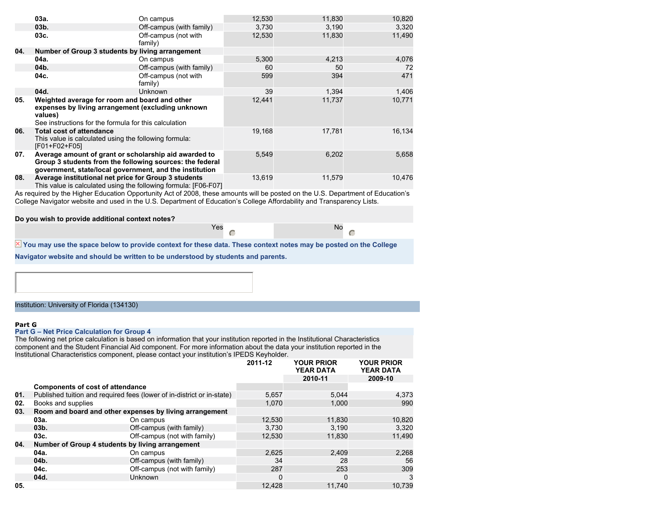|     | 03a.                                                                                                                                                                         | On campus                       | 12,530 | 11,830 | 10,820 |
|-----|------------------------------------------------------------------------------------------------------------------------------------------------------------------------------|---------------------------------|--------|--------|--------|
|     | 03 <sub>b</sub>                                                                                                                                                              | Off-campus (with family)        | 3.730  | 3,190  | 3,320  |
|     | 03c.                                                                                                                                                                         | Off-campus (not with<br>family) | 12,530 | 11,830 | 11,490 |
| 04. | Number of Group 3 students by living arrangement                                                                                                                             |                                 |        |        |        |
|     | 04a.                                                                                                                                                                         | On campus                       | 5,300  | 4,213  | 4,076  |
|     | 04b.                                                                                                                                                                         | Off-campus (with family)        | 60     | 50     | 72     |
|     | 04c.                                                                                                                                                                         | Off-campus (not with<br>family) | 599    | 394    | 471    |
|     | 04d.                                                                                                                                                                         | <b>Unknown</b>                  | 39     | 1.394  | 1,406  |
| 05. | Weighted average for room and board and other<br>expenses by living arrangement (excluding unknown<br>values)<br>See instructions for the formula for this calculation       |                                 | 12,441 | 11,737 | 10,771 |
| 06. | <b>Total cost of attendance</b><br>This value is calculated using the following formula:<br>[F01+F02+F05]                                                                    |                                 | 19,168 | 17,781 | 16.134 |
| 07. | Average amount of grant or scholarship aid awarded to<br>Group 3 students from the following sources: the federal<br>government, state/local government, and the institution |                                 | 5,549  | 6,202  | 5,658  |
| 08. | Average institutional net price for Group 3 students<br>This value is calculated using the following formula: [F06-F07]                                                      |                                 | 13,619 | 11,579 | 10,476 |

As required by the Higher Education Opportunity Act of 2008, these amounts will be posted on the U.S. Department of Education's College Navigator website and used in the U.S. Department of Education's College Affordability and Transparency Lists.

#### **Do you wish to provide additional context notes?**

| Yes |    | No |
|-----|----|----|
|     | m. |    |

 $\bigcap$ 

 $\overline{\mathbb{X}}$  You may use the space below to provide context for these data. These context notes may be posted on the College

**Navigator website and should be written to be understood by students and parents.**

#### Institution: University of Florida (134130)

#### **Part G**

## **Part G – Net Price Calculation for Group 4**

The following net price calculation is based on information that your institution reported in the Institutional Characteristics component and the Student Financial Aid component. For more information about the data your institution reported in the Institutional Characteristics component, please contact your institution's IPEDS Keyholder.

|     |                                                  |                                                                        | 2011-12      | <b>YOUR PRIOR</b><br><b>YEAR DATA</b> | <b>YOUR PRIOR</b><br><b>YEAR DATA</b> |
|-----|--------------------------------------------------|------------------------------------------------------------------------|--------------|---------------------------------------|---------------------------------------|
|     |                                                  |                                                                        |              | 2010-11                               | 2009-10                               |
|     | <b>Components of cost of attendance</b>          |                                                                        |              |                                       |                                       |
| 01. |                                                  | Published tuition and required fees (lower of in-district or in-state) | 5,657        | 5,044                                 | 4,373                                 |
| 02. | Books and supplies                               |                                                                        | 1.070        | 1.000                                 | 990                                   |
| 03. |                                                  | Room and board and other expenses by living arrangement                |              |                                       |                                       |
|     | 03а.                                             | On campus                                                              | 12,530       | 11,830                                | 10,820                                |
|     | 03 <sub>b</sub>                                  | Off-campus (with family)                                               | 3.730        | 3.190                                 | 3,320                                 |
|     | 03c.                                             | Off-campus (not with family)                                           | 12.530       | 11,830                                | 11.490                                |
| 04. | Number of Group 4 students by living arrangement |                                                                        |              |                                       |                                       |
|     | 04a.                                             | On campus                                                              | 2.625        | 2.409                                 | 2,268                                 |
|     | 04b.                                             | Off-campus (with family)                                               | 34           | 28                                    | 56                                    |
|     | 04c.                                             | Off-campus (not with family)                                           | 287          | 253                                   | 309                                   |
|     | 04d.                                             | Unknown                                                                | <sup>0</sup> | $\Omega$                              | 3                                     |
| 05. |                                                  |                                                                        | 12.428       | 11.740                                | 10.739                                |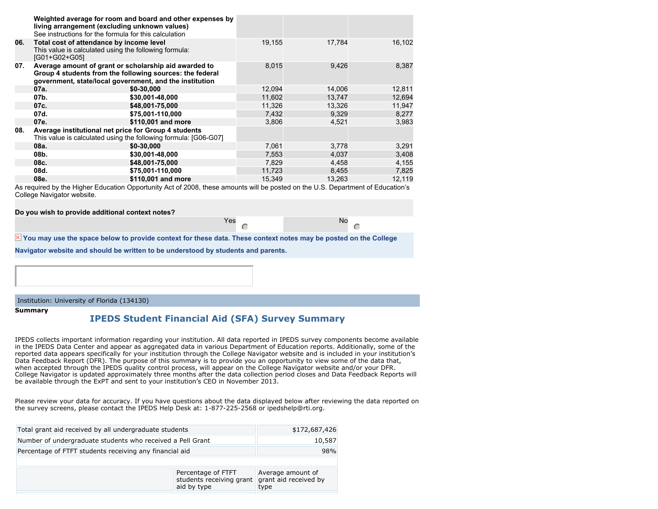|     | living arrangement (excluding unknown values)<br>See instructions for the formula for this calculation                                                                       | Weighted average for room and board and other expenses by       |        |        |        |
|-----|------------------------------------------------------------------------------------------------------------------------------------------------------------------------------|-----------------------------------------------------------------|--------|--------|--------|
| 06. | Total cost of attendance by income level<br>This value is calculated using the following formula:<br>[G01+G02+G05]                                                           |                                                                 | 19,155 | 17,784 | 16,102 |
| 07. | Average amount of grant or scholarship aid awarded to<br>Group 4 students from the following sources: the federal<br>government, state/local government, and the institution |                                                                 | 8,015  | 9,426  | 8,387  |
|     | 07a.                                                                                                                                                                         | \$0-30,000                                                      | 12,094 | 14,006 | 12,811 |
|     | 07b.                                                                                                                                                                         | \$30,001-48,000                                                 | 11,602 | 13,747 | 12,694 |
|     | 07c.                                                                                                                                                                         | \$48,001-75,000                                                 | 11,326 | 13,326 | 11,947 |
|     | 07d.                                                                                                                                                                         | \$75,001-110,000                                                | 7,432  | 9,329  | 8,277  |
|     | 07e.                                                                                                                                                                         | \$110,001 and more                                              | 3,806  | 4,521  | 3,983  |
| 08. | Average institutional net price for Group 4 students                                                                                                                         | This value is calculated using the following formula: [G06-G07] |        |        |        |
|     | 08a.                                                                                                                                                                         | \$0-30,000                                                      | 7,061  | 3,778  | 3,291  |
|     | 08b.                                                                                                                                                                         | \$30,001-48,000                                                 | 7,553  | 4,037  | 3,408  |
|     | 08c.                                                                                                                                                                         | \$48,001-75,000                                                 | 7.829  | 4.458  | 4,155  |
|     | 08d.                                                                                                                                                                         | \$75,001-110,000                                                | 11,723 | 8,455  | 7,825  |
|     | 08e.                                                                                                                                                                         | \$110,001 and more                                              | 15,349 | 13,263 | 12,119 |

As required by the Higher Education Opportunity Act of 2008, these amounts will be posted on the U.S. Department of Education's College Navigator website.

**Do you wish to provide additional context notes?**

| Yes | No |
|-----|----|
|     |    |
|     | ¢  |

 $\overline{X}$  You may use the space below to provide context for these data. These context notes may be posted on the College

**Navigator website and should be written to be understood by students and parents.**

#### Institution: University of Florida (134130)

**Summary**

## **IPEDS Student Financial Aid (SFA) Survey Summary**

IPEDS collects important information regarding your institution. All data reported in IPEDS survey components become available in the IPEDS Data Center and appear as aggregated data in various Department of Education reports. Additionally, some of the reported data appears specifically for your institution through the College Navigator website and is included in your institution's Data Feedback Report (DFR). The purpose of this summary is to provide you an opportunity to view some of the data that, when accepted through the IPEDS quality control process, will appear on the College Navigator website and/or your DFR. College Navigator is updated approximately three months after the data collection period closes and Data Feedback Reports will be available through the ExPT and sent to your institution's CEO in November 2013.

Please review your data for accuracy. If you have questions about the data displayed below after reviewing the data reported on the survey screens, please contact the IPEDS Help Desk at: 1-877-225-2568 or ipedshelp@rti.org.

| Total grant aid received by all undergraduate students     | \$172,687,426                                                                  |
|------------------------------------------------------------|--------------------------------------------------------------------------------|
| Number of undergraduate students who received a Pell Grant | 10,587                                                                         |
| Percentage of FTFT students receiving any financial aid    | 98%                                                                            |
|                                                            |                                                                                |
|                                                            | Average amount of<br>grant aid received by<br>students receiving grant<br>type |